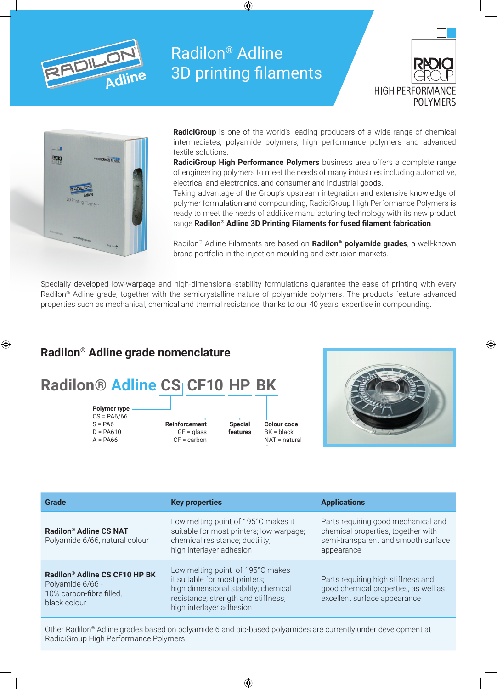

# Radilon® Adline 3D printing filaments





**RadiciGroup** is one of the world's leading producers of a wide range of chemical intermediates, polyamide polymers, high performance polymers and advanced textile solutions.

**RadiciGroup High Performance Polymers** business area offers a complete range of engineering polymers to meet the needs of many industries including automotive, electrical and electronics, and consumer and industrial goods.

Taking advantage of the Group's upstream integration and extensive knowledge of polymer formulation and compounding, RadiciGroup High Performance Polymers is ready to meet the needs of additive manufacturing technology with its new product range **Radilon® Adline 3D Printing Filaments for fused filament fabrication**.

Radilon® Adline Filaments are based on **Radilon® polyamide grades**, a well-known brand portfolio in the injection moulding and extrusion markets.

Specially developed low-warpage and high-dimensional-stability formulations guarantee the ease of printing with every Radilon® Adline grade, together with the semicrystalline nature of polyamide polymers. The products feature advanced properties such as mechanical, chemical and thermal resistance, thanks to our 40 years' expertise in compounding.

# **Radilon® Adline grade nomenclature**





**Reinforcement**  $GF = **glass**$ CF = carbon

- **Special features**
- **Colour code** BK = black NAT = natural …



| Grade                                                                                                     | <b>Key properties</b>                                                                                                                                                         | <b>Applications</b>                                                                                                            |
|-----------------------------------------------------------------------------------------------------------|-------------------------------------------------------------------------------------------------------------------------------------------------------------------------------|--------------------------------------------------------------------------------------------------------------------------------|
| Radilon <sup>®</sup> Adline CS NAT<br>Polyamide 6/66, natural colour                                      | Low melting point of 195°C makes it<br>suitable for most printers; low warpage;<br>chemical resistance; ductility;<br>high interlayer adhesion                                | Parts requiring good mechanical and<br>chemical properties, together with<br>semi-transparent and smooth surface<br>appearance |
| Radilon <sup>®</sup> Adline CS CF10 HP BK<br>Polyamide 6/66 -<br>10% carbon-fibre filled,<br>black colour | Low melting point of 195°C makes<br>it suitable for most printers;<br>high dimensional stability; chemical<br>resistance; strength and stiffness;<br>high interlayer adhesion | Parts requiring high stiffness and<br>good chemical properties, as well as<br>excellent surface appearance                     |

Other Radilon® Adline grades based on polyamide 6 and bio-based polyamides are currently under development at RadiciGroup High Performance Polymers.